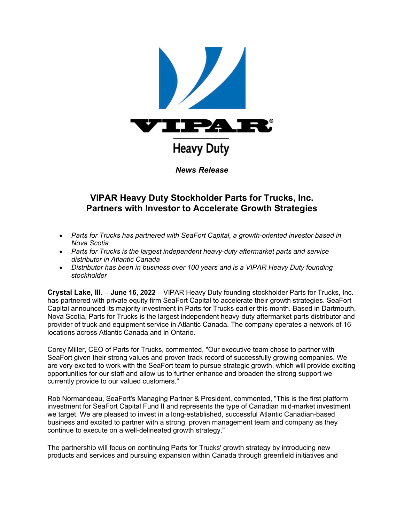

# **VIPAR Heavy Duty Stockholder Parts for Trucks, Inc. Partners with Investor to Accelerate Growth Strategies**

- *Parts for Trucks has partnered with SeaFort Capital, a growth-oriented investor based in Nova Scotia*
- *Parts for Trucks is the largest independent heavy-duty aftermarket parts and service distributor in Atlantic Canada*
- *Distributor has been in business over 100 years and is a VIPAR Heavy Duty founding stockholder*

**Crystal Lake, Ill.** – **June 16, 2022** – VIPAR Heavy Duty founding stockholder Parts for Trucks, Inc. has partnered with private equity firm SeaFort Capital to accelerate their growth strategies. SeaFort Capital announced its majority investment in Parts for Trucks earlier this month. Based in Dartmouth, Nova Scotia, Parts for Trucks is the largest independent heavy-duty aftermarket parts distributor and provider of truck and equipment service in Atlantic Canada. The company operates a network of 16 locations across Atlantic Canada and in Ontario.

Corey Miller, CEO of Parts for Trucks, commented, "Our executive team chose to partner with SeaFort given their strong values and proven track record of successfully growing companies. We are very excited to work with the SeaFort team to pursue strategic growth, which will provide exciting opportunities for our staff and allow us to further enhance and broaden the strong support we currently provide to our valued customers."

Rob Normandeau, SeaFort's Managing Partner & President, commented, "This is the first platform investment for SeaFort Capital Fund II and represents the type of Canadian mid-market investment we target. We are pleased to invest in a long-established, successful Atlantic Canadian-based business and excited to partner with a strong, proven management team and company as they continue to execute on a well-delineated growth strategy."

The partnership will focus on continuing Parts for Trucks' growth strategy by introducing new products and services and pursuing expansion within Canada through greenfield initiatives and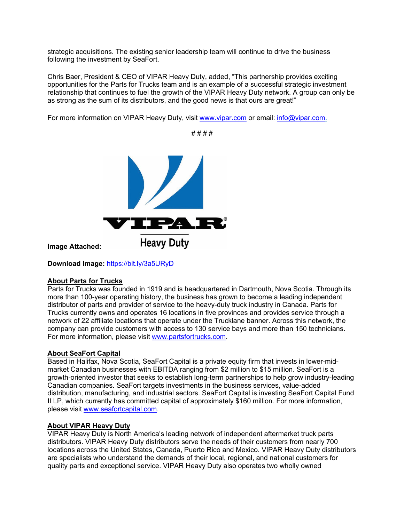strategic acquisitions. The existing senior leadership team will continue to drive the business following the investment by SeaFort.

Chris Baer, President & CEO of VIPAR Heavy Duty, added, "This partnership provides exciting opportunities for the Parts for Trucks team and is an example of a successful strategic investment relationship that continues to fuel the growth of the VIPAR Heavy Duty network. A group can only be as strong as the sum of its distributors, and the good news is that ours are great!"

*# # # #*

For more information on VIPAR Heavy Duty, visit [www.vipar.com](https://u7061146.ct.sendgrid.net/ls/click?upn=TeZUXWpUv-2B6TCY38pVLo9gN6DTGiavGxL76HpykJj88-3DKFCn_GVJEK9O3SNtoXCTVqtHHuZICRv8AuvD4nhCr-2BqrWSGS8N6cTJ8XRV2w4l5jTFK2pCNSYBabxgLaAiDRZ36erfTgYSIuiV3hDk3ZpzR5cCyDdKUVfLsb0pevk7qrMPieTFLSoE89KK9zwwsREKtWb552txd0d5oBHp8cRS-2BDZDRSYdPoEoEBeFDqX95TUNyiNUo1iERWy6IisCPKAC90To3VKZ8kGq-2FPHM-2Fm0dGzkzr4AFM0Tal9VV3f9GXfY9Cs1V6X69urWBDYrzBAtAkss94yKryFsHRGrnaEUWrLKQoPCKK4jt-2FDs8k71MRGx-2B3VBDS8Orkr2rHoCTz1XGhzpAA-3D-3D) or email: [info@vipar.com.](mailto:info@vipar.com)



**Image Attached:**

**Download Image:** [https://bit.ly/3a5URyD](https://u7061146.ct.sendgrid.net/ls/click?upn=4tNED-2FM8iDZJQyQ53jATUd1gOWGyyREHiaxJ1NU0Q9tjkxy0CFcmCH3nleILYEpNxjITXRmwJ-2BWLzgpCpuif2I8GpqkYWW-2FY8cfNtc7IAE9C1iP0mrkn7oiq0TRI9HlldsFh3njfZyESs3lhZkLqZwyythUgv0pNxIzqHP1sNhA69ZeDmRVYIJyXIIpK7OgIKl61pIHDCzhn-2FWHjRAIAbxAIaAtkyzbkgXBCu5vlpB6C28ZdIzRXJviItah96jgr4o-2FZRkiEsSNdAvj7bLAWWhq2sAvhzZSY0ZdYoVh-2FvDhORP-2FaTioMSF6ZN0AKnFGOn7lPEY2j802e6DnGGbHgznW56KzujeZwFe9OLLpKCOWLHn4RNz7fn0tA2OvvDoL6AQLTZVs6Wsl5njB1KQTbi-2BT7GOxUrAz4S-2Fxnl7uPicxbPLD0egBzE4RWwgihCBD2KnAn3Wa61vkl5wBtk4bRnq02bqTIFQUqZC-2FOAxWkM1uZyJoDqInzG3y5IP3Kw6UJkMrmE5X6B2ST-2FyRkVrjUPR5h3UGmoGjDv3j00ssEcz6piXtGTeKwskH8I1uuDZ7pIlajXy3JsfWo8H8teavPFTqLCnqHMYwUdQge9DIlPM7y0-2FR5Lf1EoTUhvO-2Bh9SgXL8wv_GVJEK9O3SNtoXCTVqtHHuZICRv8AuvD4nhCr-2BqrWSGS8N6cTJ8XRV2w4l5jTFK2pCNSYBabxgLaAiDRZ36erfTgYSIuiV3hDk3ZpzR5cCyDdKUVfLsb0pevk7qrMPieTFLSoE89KK9zwwsREKtWb552txd0d5oBHp8cRS-2BDZDRSYdPoEoEBeFDqX95TUNyiNs7sjSWBFhZ1Xbawj73BVy4VRC1-2BH4loavWSD6EnXULDigufCRQKUT01MKmF2mxSA-2BGV5D8KX2ualutF4ycZ-2B3j53uxUP6sKGQvIVZtC3V66DaTvE4lsOCudRb6weAaP2Otf8Sx1LMYDHfOMIJy89dA-3D-3D)

### **About Parts for Trucks**

Parts for Trucks was founded in 1919 and is headquartered in Dartmouth, Nova Scotia. Through its more than 100-year operating history, the business has grown to become a leading independent distributor of parts and provider of service to the heavy-duty truck industry in Canada. Parts for Trucks currently owns and operates 16 locations in five provinces and provides service through a network of 22 affiliate locations that operate under the Trucklane banner. Across this network, the company can provide customers with access to 130 service bays and more than 150 technicians. For more information, please visit www.partsfortrucks.com.

## **About SeaFort Capital**

Based in Halifax, Nova Scotia, SeaFort Capital is a private equity firm that invests in lower-midmarket Canadian businesses with EBITDA ranging from \$2 million to \$15 million. SeaFort is a growth-oriented investor that seeks to establish long-term partnerships to help grow industry-leading Canadian companies. SeaFort targets investments in the business services, value-added distribution, manufacturing, and industrial sectors. SeaFort Capital is investing SeaFort Capital Fund II LP, which currently has committed capital of approximately \$160 million. For more information, please visit www.seafortcapital.com.

### **About VIPAR Heavy Duty**

VIPAR Heavy Duty is North America's leading network of independent aftermarket truck parts distributors. VIPAR Heavy Duty distributors serve the needs of their customers from nearly 700 locations across the United States, Canada, Puerto Rico and Mexico. VIPAR Heavy Duty distributors are specialists who understand the demands of their local, regional, and national customers for quality parts and exceptional service. VIPAR Heavy Duty also operates two wholly owned